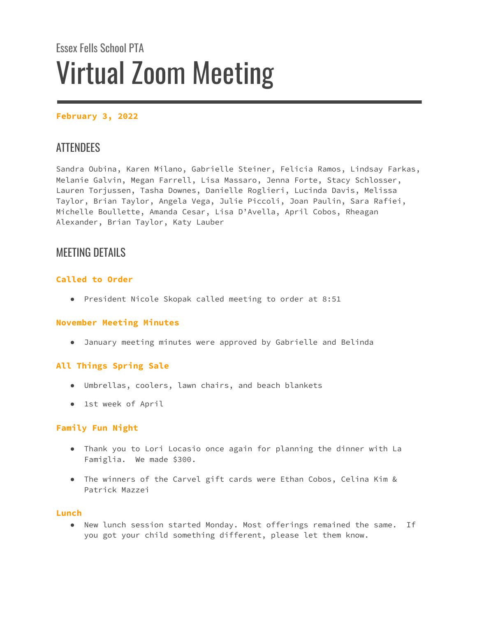# Essex Fells School PTA Virtual Zoom Meeting

# **February 3, 2022**

# **ATTENDEES**

Sandra Oubina, Karen Milano, Gabrielle Steiner, Felicia Ramos, Lindsay Farkas, Melanie Galvin, Megan Farrell, Lisa Massaro, Jenna Forte, Stacy Schlosser, Lauren Torjussen, Tasha Downes, Danielle Roglieri, Lucinda Davis, Melissa Taylor, Brian Taylor, Angela Vega, Julie Piccoli, Joan Paulin, Sara Rafiei, Michelle Boullette, Amanda Cesar, Lisa D'Avella, April Cobos, Rheagan Alexander, Brian Taylor, Katy Lauber

# MEETING DETAILS

# **Called to Order**

● President Nicole Skopak called meeting to order at 8:51

#### **November Meeting Minutes**

● January meeting minutes were approved by Gabrielle and Belinda

# **All Things Spring Sale**

- Umbrellas, coolers, lawn chairs, and beach blankets
- 1st week of April

#### **Family Fun Night**

- Thank you to Lori Locasio once again for planning the dinner with La Famiglia. We made \$300.
- The winners of the Carvel gift cards were Ethan Cobos, Celina Kim & Patrick Mazzei

#### **Lunch**

● New lunch session started Monday. Most offerings remained the same. If you got your child something different, please let them know.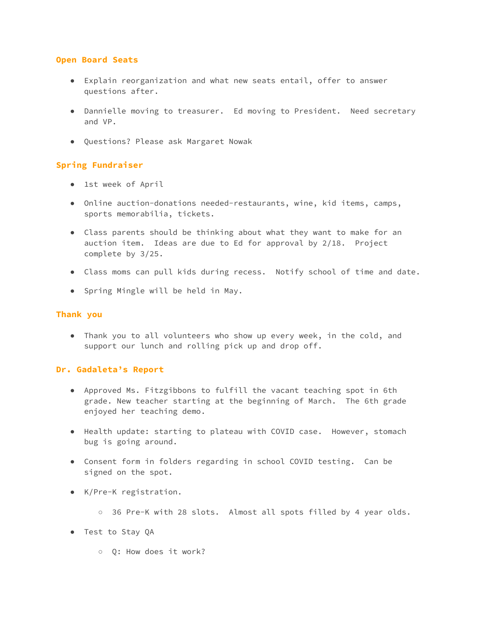#### **Open Board Seats**

- Explain reorganization and what new seats entail, offer to answer questions after.
- Dannielle moving to treasurer. Ed moving to President. Need secretary and VP.
- Questions? Please ask Margaret Nowak

### **Spring Fundraiser**

- 1st week of April
- Online auction-donations needed-restaurants, wine, kid items, camps, sports memorabilia, tickets.
- Class parents should be thinking about what they want to make for an auction item. Ideas are due to Ed for approval by 2/18. Project complete by 3/25.
- Class moms can pull kids during recess. Notify school of time and date.
- Spring Mingle will be held in May.

#### **Thank you**

● Thank you to all volunteers who show up every week, in the cold, and support our lunch and rolling pick up and drop off.

#### **Dr. Gadaleta's Report**

- Approved Ms. Fitzgibbons to fulfill the vacant teaching spot in 6th grade. New teacher starting at the beginning of March. The 6th grade enjoyed her teaching demo.
- Health update: starting to plateau with COVID case. However, stomach bug is going around.
- Consent form in folders regarding in school COVID testing. Can be signed on the spot.
- K/Pre-K registration.
	- 36 Pre-K with 28 slots. Almost all spots filled by 4 year olds.
- Test to Stay QA
	- Q: How does it work?